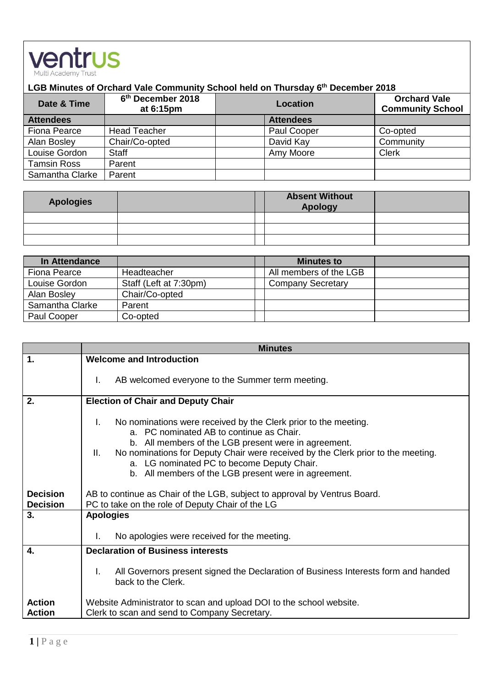

## **LGB Minutes of Orchard Vale Community School held on Thursday 6 th December 2018**

| Date & Time        | 6 <sup>th</sup> December 2018<br>at 6:15pm | <b>Location</b>  | <b>Orchard Vale</b><br><b>Community School</b> |
|--------------------|--------------------------------------------|------------------|------------------------------------------------|
| <b>Attendees</b>   |                                            | <b>Attendees</b> |                                                |
| Fiona Pearce       | <b>Head Teacher</b>                        | Paul Cooper      | Co-opted                                       |
| Alan Bosley        | Chair/Co-opted                             | David Kay        | Community                                      |
| Louise Gordon      | <b>Staff</b>                               | Amy Moore        | <b>Clerk</b>                                   |
| <b>Tamsin Ross</b> | Parent                                     |                  |                                                |
| Samantha Clarke    | Parent                                     |                  |                                                |

| <b>Apologies</b> | <b>Absent Without</b><br><b>Apology</b> |  |
|------------------|-----------------------------------------|--|
|                  |                                         |  |
|                  |                                         |  |
|                  |                                         |  |

| In Attendance   |                        | <b>Minutes to</b>        |  |
|-----------------|------------------------|--------------------------|--|
| Fiona Pearce    | Headteacher            | All members of the LGB   |  |
| Louise Gordon   | Staff (Left at 7:30pm) | <b>Company Secretary</b> |  |
| Alan Bosley     | Chair/Co-opted         |                          |  |
| Samantha Clarke | Parent                 |                          |  |
| Paul Cooper     | Co-opted               |                          |  |

|                                | <b>Minutes</b>                                                                                                                                                                                                                                                                                                                                                            |  |  |
|--------------------------------|---------------------------------------------------------------------------------------------------------------------------------------------------------------------------------------------------------------------------------------------------------------------------------------------------------------------------------------------------------------------------|--|--|
| 1.                             | <b>Welcome and Introduction</b>                                                                                                                                                                                                                                                                                                                                           |  |  |
|                                | AB welcomed everyone to the Summer term meeting.<br>I.                                                                                                                                                                                                                                                                                                                    |  |  |
| 2.                             | <b>Election of Chair and Deputy Chair</b>                                                                                                                                                                                                                                                                                                                                 |  |  |
|                                | I.<br>No nominations were received by the Clerk prior to the meeting.<br>a. PC nominated AB to continue as Chair.<br>b. All members of the LGB present were in agreement.<br>No nominations for Deputy Chair were received by the Clerk prior to the meeting.<br>Ш.<br>a. LG nominated PC to become Deputy Chair.<br>b. All members of the LGB present were in agreement. |  |  |
| <b>Decision</b>                | AB to continue as Chair of the LGB, subject to approval by Ventrus Board.                                                                                                                                                                                                                                                                                                 |  |  |
| <b>Decision</b>                | PC to take on the role of Deputy Chair of the LG                                                                                                                                                                                                                                                                                                                          |  |  |
| 3.                             | <b>Apologies</b>                                                                                                                                                                                                                                                                                                                                                          |  |  |
|                                | No apologies were received for the meeting.<br>I.                                                                                                                                                                                                                                                                                                                         |  |  |
| 4.                             | <b>Declaration of Business interests</b>                                                                                                                                                                                                                                                                                                                                  |  |  |
|                                | I.<br>All Governors present signed the Declaration of Business Interests form and handed<br>back to the Clerk.                                                                                                                                                                                                                                                            |  |  |
| <b>Action</b><br><b>Action</b> | Website Administrator to scan and upload DOI to the school website.<br>Clerk to scan and send to Company Secretary.                                                                                                                                                                                                                                                       |  |  |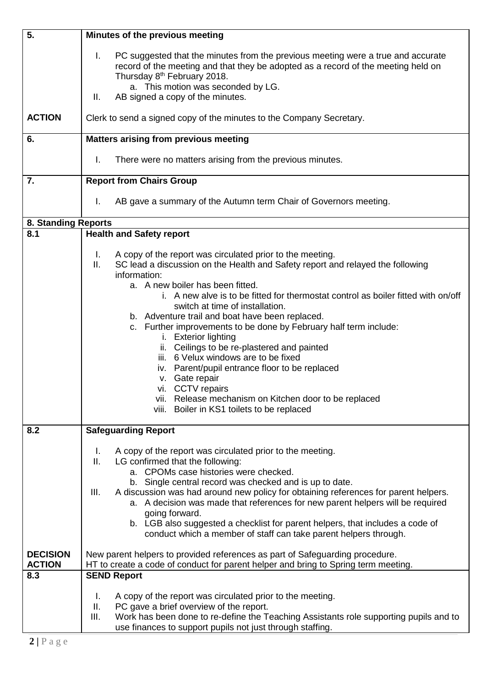| 5.                               | Minutes of the previous meeting                                                                                                                                                                                                                                                                                                                                                                                                                                                                                                                                       |  |
|----------------------------------|-----------------------------------------------------------------------------------------------------------------------------------------------------------------------------------------------------------------------------------------------------------------------------------------------------------------------------------------------------------------------------------------------------------------------------------------------------------------------------------------------------------------------------------------------------------------------|--|
|                                  | Τ.<br>PC suggested that the minutes from the previous meeting were a true and accurate<br>record of the meeting and that they be adopted as a record of the meeting held on<br>Thursday 8 <sup>th</sup> February 2018.                                                                                                                                                                                                                                                                                                                                                |  |
|                                  | a. This motion was seconded by LG.<br>AB signed a copy of the minutes.<br>Ⅱ.                                                                                                                                                                                                                                                                                                                                                                                                                                                                                          |  |
| <b>ACTION</b>                    | Clerk to send a signed copy of the minutes to the Company Secretary.                                                                                                                                                                                                                                                                                                                                                                                                                                                                                                  |  |
| 6.                               | <b>Matters arising from previous meeting</b>                                                                                                                                                                                                                                                                                                                                                                                                                                                                                                                          |  |
|                                  | Ι.<br>There were no matters arising from the previous minutes.                                                                                                                                                                                                                                                                                                                                                                                                                                                                                                        |  |
| 7.                               | <b>Report from Chairs Group</b>                                                                                                                                                                                                                                                                                                                                                                                                                                                                                                                                       |  |
|                                  | AB gave a summary of the Autumn term Chair of Governors meeting.<br>T.                                                                                                                                                                                                                                                                                                                                                                                                                                                                                                |  |
| 8. Standing Reports              |                                                                                                                                                                                                                                                                                                                                                                                                                                                                                                                                                                       |  |
| 8.1                              | <b>Health and Safety report</b>                                                                                                                                                                                                                                                                                                                                                                                                                                                                                                                                       |  |
|                                  | A copy of the report was circulated prior to the meeting.<br>Ι.<br>SC lead a discussion on the Health and Safety report and relayed the following<br>Ш.<br>information:<br>a. A new boiler has been fitted.<br>i. A new alve is to be fitted for thermostat control as boiler fitted with on/off                                                                                                                                                                                                                                                                      |  |
|                                  | switch at time of installation.<br>b. Adventure trail and boat have been replaced.<br>c. Further improvements to be done by February half term include:<br>i. Exterior lighting<br>ii. Ceilings to be re-plastered and painted<br>iii. 6 Velux windows are to be fixed<br>iv. Parent/pupil entrance floor to be replaced<br>v. Gate repair<br>vi. CCTV repairs<br>vii. Release mechanism on Kitchen door to be replaced<br>viii. Boiler in KS1 toilets to be replaced                                                                                                 |  |
| 8.2                              | <b>Safeguarding Report</b>                                                                                                                                                                                                                                                                                                                                                                                                                                                                                                                                            |  |
|                                  | A copy of the report was circulated prior to the meeting.<br>L.<br>LG confirmed that the following:<br>Ш.<br>a. CPOMs case histories were checked.<br>b. Single central record was checked and is up to date.<br>A discussion was had around new policy for obtaining references for parent helpers.<br>III.<br>a. A decision was made that references for new parent helpers will be required<br>going forward.<br>b. LGB also suggested a checklist for parent helpers, that includes a code of<br>conduct which a member of staff can take parent helpers through. |  |
| <b>DECISION</b><br><b>ACTION</b> | New parent helpers to provided references as part of Safeguarding procedure.<br>HT to create a code of conduct for parent helper and bring to Spring term meeting.                                                                                                                                                                                                                                                                                                                                                                                                    |  |
| 8.3                              | <b>SEND Report</b>                                                                                                                                                                                                                                                                                                                                                                                                                                                                                                                                                    |  |
|                                  | A copy of the report was circulated prior to the meeting.<br>I.<br>PC gave a brief overview of the report.<br>Ш.<br>Work has been done to re-define the Teaching Assistants role supporting pupils and to<br>III.<br>use finances to support pupils not just through staffing.                                                                                                                                                                                                                                                                                        |  |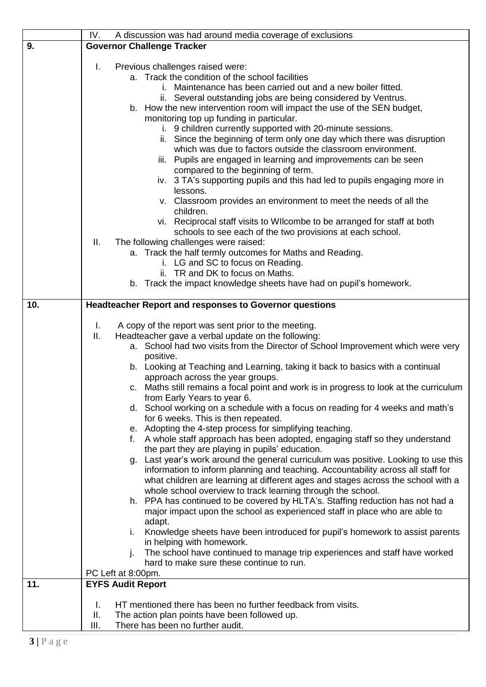|     | IV.<br>A discussion was had around media coverage of exclusions                                                                  |  |
|-----|----------------------------------------------------------------------------------------------------------------------------------|--|
| 9.  | <b>Governor Challenge Tracker</b>                                                                                                |  |
|     | Previous challenges raised were:<br>Τ.                                                                                           |  |
|     | a. Track the condition of the school facilities                                                                                  |  |
|     | i. Maintenance has been carried out and a new boiler fitted.                                                                     |  |
|     | ii. Several outstanding jobs are being considered by Ventrus.                                                                    |  |
|     | b. How the new intervention room will impact the use of the SEN budget,                                                          |  |
|     | monitoring top up funding in particular.                                                                                         |  |
|     | i. 9 children currently supported with 20-minute sessions.                                                                       |  |
|     | ii. Since the beginning of term only one day which there was disruption                                                          |  |
|     | which was due to factors outside the classroom environment.                                                                      |  |
|     | iii. Pupils are engaged in learning and improvements can be seen                                                                 |  |
|     | compared to the beginning of term.                                                                                               |  |
|     | iv. 3 TA's supporting pupils and this had led to pupils engaging more in<br>lessons.                                             |  |
|     | v. Classroom provides an environment to meet the needs of all the                                                                |  |
|     | children.                                                                                                                        |  |
|     | vi. Reciprocal staff visits to WII combe to be arranged for staff at both                                                        |  |
|     | schools to see each of the two provisions at each school.                                                                        |  |
|     | Ш.<br>The following challenges were raised:                                                                                      |  |
|     | a. Track the half termly outcomes for Maths and Reading.                                                                         |  |
|     | i. LG and SC to focus on Reading.                                                                                                |  |
|     | ii. TR and DK to focus on Maths.<br>b. Track the impact knowledge sheets have had on pupil's homework.                           |  |
|     |                                                                                                                                  |  |
| 10. | <b>Headteacher Report and responses to Governor questions</b>                                                                    |  |
|     |                                                                                                                                  |  |
|     | A copy of the report was sent prior to the meeting.<br>T.                                                                        |  |
|     | Headteacher gave a verbal update on the following:<br>Ш.                                                                         |  |
|     | a. School had two visits from the Director of School Improvement which were very                                                 |  |
|     | positive.<br>b. Looking at Teaching and Learning, taking it back to basics with a continual                                      |  |
|     | approach across the year groups.                                                                                                 |  |
|     | c. Maths still remains a focal point and work is in progress to look at the curriculum                                           |  |
|     | from Early Years to year 6.                                                                                                      |  |
|     | d. School working on a schedule with a focus on reading for 4 weeks and math's                                                   |  |
|     | for 6 weeks. This is then repeated.                                                                                              |  |
|     | e. Adopting the 4-step process for simplifying teaching.                                                                         |  |
|     | f. A whole staff approach has been adopted, engaging staff so they understand<br>the part they are playing in pupils' education. |  |
|     | Last year's work around the general curriculum was positive. Looking to use this<br>g.                                           |  |
|     | information to inform planning and teaching. Accountability across all staff for                                                 |  |
|     | what children are learning at different ages and stages across the school with a                                                 |  |
|     | whole school overview to track learning through the school.                                                                      |  |
|     | h. PPA has continued to be covered by HLTA's. Staffing reduction has not had a                                                   |  |
|     | major impact upon the school as experienced staff in place who are able to                                                       |  |
|     | adapt.                                                                                                                           |  |
|     | Knowledge sheets have been introduced for pupil's homework to assist parents<br>i.                                               |  |
|     | in helping with homework.<br>The school have continued to manage trip experiences and staff have worked<br>İ.                    |  |
|     | hard to make sure these continue to run.                                                                                         |  |
|     | PC Left at 8:00pm.                                                                                                               |  |
| 11. | <b>EYFS Audit Report</b>                                                                                                         |  |
|     |                                                                                                                                  |  |
|     | HT mentioned there has been no further feedback from visits.<br>Ι.<br>Ш.<br>The action plan points have been followed up.        |  |
|     | There has been no further audit.<br>III.                                                                                         |  |
|     |                                                                                                                                  |  |